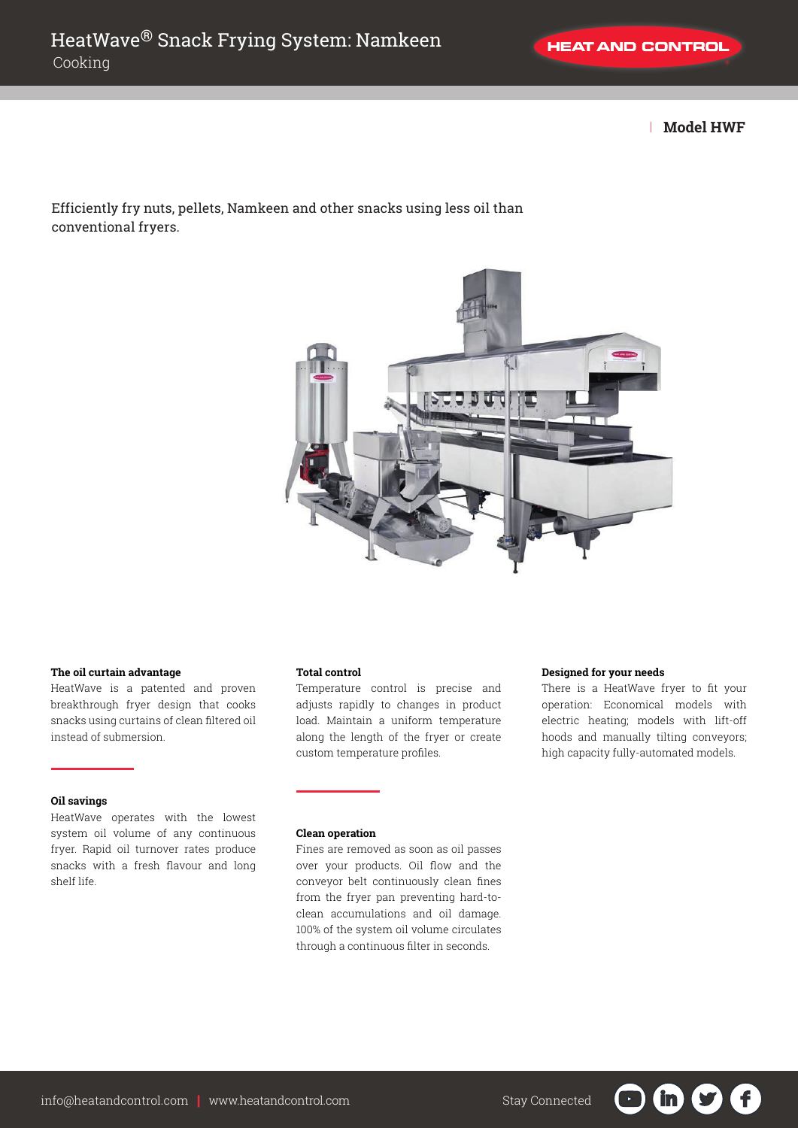| **Model HWF**

# Efficiently fry nuts, pellets, Namkeen and other snacks using less oil than conventional fryers.



## **The oil curtain advantage**

HeatWave is a patented and proven breakthrough fryer design that cooks snacks using curtains of clean filtered oil instead of submersion.

## **Oil savings**

HeatWave operates with the lowest system oil volume of any continuous fryer. Rapid oil turnover rates produce snacks with a fresh flavour and long shelf life.

### **Total control**

Temperature control is precise and adjusts rapidly to changes in product load. Maintain a uniform temperature along the length of the fryer or create custom temperature profiles.

# **Clean operation**

Fines are removed as soon as oil passes over your products. Oil flow and the conveyor belt continuously clean fines from the fryer pan preventing hard-toclean accumulations and oil damage. 100% of the system oil volume circulates through a continuous filter in seconds.

## **Designed for your needs**

There is a HeatWave fryer to fit your operation: Economical models with electric heating; models with lift-off hoods and manually tilting conveyors; high capacity fully-automated models.

 $\sqrt{f}$ 

'in'